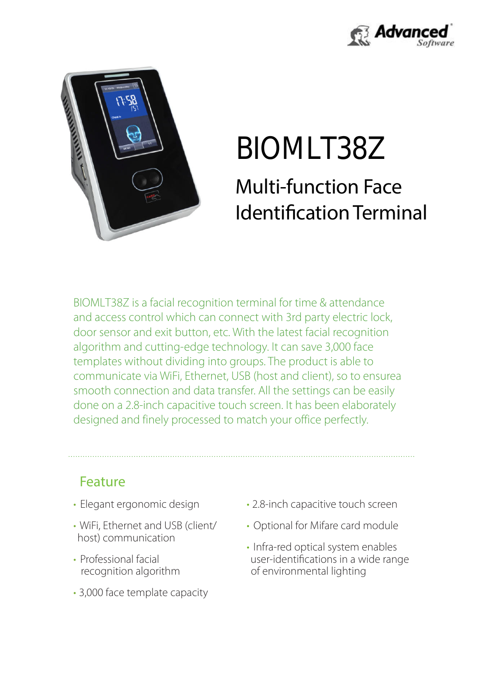



# Identification Terminal Multi-function Face BIOMLT38Z

designed and finely processed to match your office perfectly. done on a 2.8-inch capacitive touch screen. It has been elaborately smooth connection and data transfer. All the settings can be easily communicate via WiFi, Ethernet, USB (host and client), so to ensurea templates without dividing into groups. The product is able to algorithm and cutting-edge technology. It can save 3,000 face door sensor and exit button, etc. With the latest facial recognition and access control which can connect with 3rd party electric lock, BIOMLT38Z is a facial recognition terminal for time & attendance

#### Feature

- Elegant ergonomic design
- host) communication • WiFi, Ethernet and USB (client/
- recognition algorithm • Professional facial
- 3,000 face template capacity
- 2.8-inch capacitive touch screen
- Optional for Mifare card module
- Infra-red optical system enables user-identifications in a wide range of environmental lighting